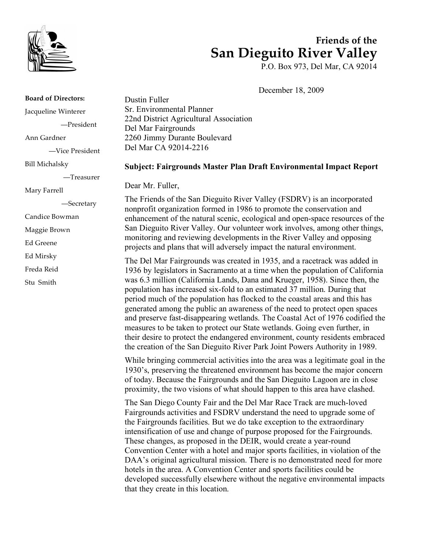

# **Friends of the San Dieguito River Valley**

P.O. Box 973, Del Mar, CA 92014

December 18, 2009

**Board of Directors:** Jacqueline Winterer —President Ann Gardner —Vice President Bill Michalsky —Treasurer Mary Farrell —Secretary Candice Bowman Maggie Brown Ed Greene Ed Mirsky Freda Reid Stu Smith

Dustin Fuller Sr. Environmental Planner 22nd District Agricultural Association Del Mar Fairgrounds 2260 Jimmy Durante Boulevard Del Mar CA 92014-2216

#### **Subject: Fairgrounds Master Plan Draft Environmental Impact Report**

Dear Mr. Fuller,

The Friends of the San Dieguito River Valley (FSDRV) is an incorporated nonprofit organization formed in 1986 to promote the conservation and enhancement of the natural scenic, ecological and open-space resources of the San Dieguito River Valley. Our volunteer work involves, among other things, monitoring and reviewing developments in the River Valley and opposing projects and plans that will adversely impact the natural environment.

The Del Mar Fairgrounds was created in 1935, and a racetrack was added in 1936 by legislators in Sacramento at a time when the population of California was 6.3 million (California Lands, Dana and Krueger, 1958). Since then, the population has increased six-fold to an estimated 37 million. During that period much of the population has flocked to the coastal areas and this has generated among the public an awareness of the need to protect open spaces and preserve fast-disappearing wetlands. The Coastal Act of 1976 codified the measures to be taken to protect our State wetlands. Going even further, in their desire to protect the endangered environment, county residents embraced the creation of the San Dieguito River Park Joint Powers Authority in 1989.

While bringing commercial activities into the area was a legitimate goal in the 1930's, preserving the threatened environment has become the major concern of today. Because the Fairgrounds and the San Dieguito Lagoon are in close proximity, the two visions of what should happen to this area have clashed.

The San Diego County Fair and the Del Mar Race Track are much-loved Fairgrounds activities and FSDRV understand the need to upgrade some of the Fairgrounds facilities. But we do take exception to the extraordinary intensification of use and change of purpose proposed for the Fairgrounds. These changes, as proposed in the DEIR, would create a year-round Convention Center with a hotel and major sports facilities, in violation of the DAA's original agricultural mission. There is no demonstrated need for more hotels in the area. A Convention Center and sports facilities could be developed successfully elsewhere without the negative environmental impacts that they create in this location.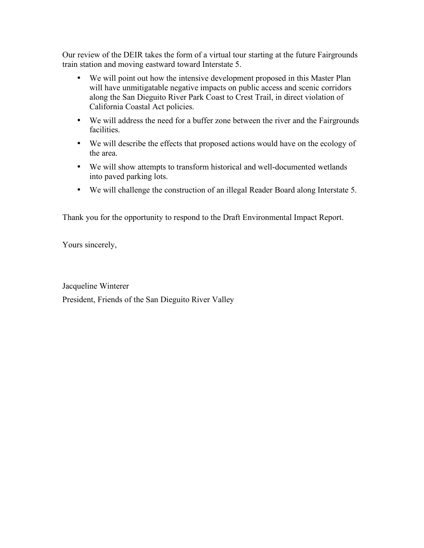Our review of the DEIR takes the form of a virtual tour starting at the future Fairgrounds train station and moving eastward toward Interstate 5.

- We will point out how the intensive development proposed in this Master Plan will have unmitigatable negative impacts on public access and scenic corridors along the San Dieguito River Park Coast to Crest Trail, in direct violation of California Coastal Act policies.
- We will address the need for a buffer zone between the river and the Fairgrounds facilities.
- We will describe the effects that proposed actions would have on the ecology of the area.
- We will show attempts to transform historical and well-documented wetlands into paved parking lots.
- We will challenge the construction of an illegal Reader Board along Interstate 5.

Thank you for the opportunity to respond to the Draft Environmental Impact Report.

Yours sincerely,

Jacqueline Winterer President, Friends of the San Dieguito River Valley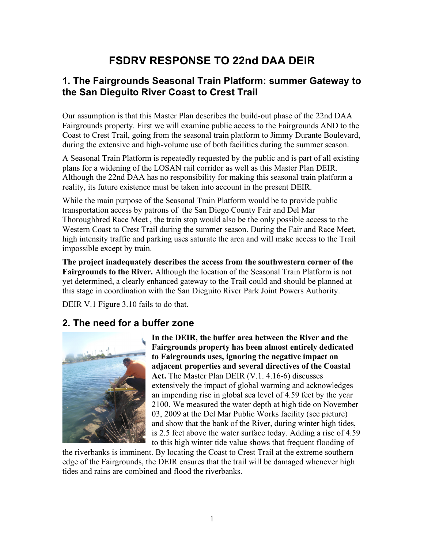# **FSDRV RESPONSE TO 22nd DAA DEIR**

## **1. The Fairgrounds Seasonal Train Platform: summer Gateway to the San Dieguito River Coast to Crest Trail**

Our assumption is that this Master Plan describes the build-out phase of the 22nd DAA Fairgrounds property. First we will examine public access to the Fairgrounds AND to the Coast to Crest Trail, going from the seasonal train platform to Jimmy Durante Boulevard, during the extensive and high-volume use of both facilities during the summer season.

A Seasonal Train Platform is repeatedly requested by the public and is part of all existing plans for a widening of the LOSAN rail corridor as well as this Master Plan DEIR. Although the 22nd DAA has no responsibility for making this seasonal train platform a reality, its future existence must be taken into account in the present DEIR.

While the main purpose of the Seasonal Train Platform would be to provide public transportation access by patrons of the San Diego County Fair and Del Mar Thoroughbred Race Meet , the train stop would also be the only possible access to the Western Coast to Crest Trail during the summer season. During the Fair and Race Meet, high intensity traffic and parking uses saturate the area and will make access to the Trail impossible except by train.

**The project inadequately describes the access from the southwestern corner of the Fairgrounds to the River.** Although the location of the Seasonal Train Platform is not yet determined, a clearly enhanced gateway to the Trail could and should be planned at this stage in coordination with the San Dieguito River Park Joint Powers Authority.

DEIR V.1 Figure 3.10 fails to do that.

### **2. The need for a buffer zone**



**In the DEIR, the buffer area between the River and the Fairgrounds property has been almost entirely dedicated to Fairgrounds uses, ignoring the negative impact on adjacent properties and several directives of the Coastal Act.** The Master Plan DEIR (V.1. 4.16-6) discusses extensively the impact of global warming and acknowledges an impending rise in global sea level of 4.59 feet by the year 2100. We measured the water depth at high tide on November 03, 2009 at the Del Mar Public Works facility (see picture) and show that the bank of the River, during winter high tides, is 2.5 feet above the water surface today. Adding a rise of 4.59 to this high winter tide value shows that frequent flooding of

the riverbanks is imminent. By locating the Coast to Crest Trail at the extreme southern edge of the Fairgrounds, the DEIR ensures that the trail will be damaged whenever high tides and rains are combined and flood the riverbanks.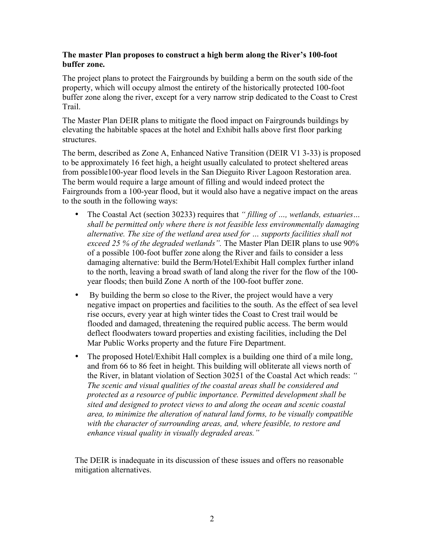#### **The master Plan proposes to construct a high berm along the River's 100-foot buffer zone.**

The project plans to protect the Fairgrounds by building a berm on the south side of the property, which will occupy almost the entirety of the historically protected 100-foot buffer zone along the river, except for a very narrow strip dedicated to the Coast to Crest Trail.

The Master Plan DEIR plans to mitigate the flood impact on Fairgrounds buildings by elevating the habitable spaces at the hotel and Exhibit halls above first floor parking structures.

The berm, described as Zone A, Enhanced Native Transition (DEIR V1 3-33) is proposed to be approximately 16 feet high, a height usually calculated to protect sheltered areas from possible100-year flood levels in the San Dieguito River Lagoon Restoration area. The berm would require a large amount of filling and would indeed protect the Fairgrounds from a 100-year flood, but it would also have a negative impact on the areas to the south in the following ways:

- The Coastal Act (section 30233) requires that *" filling of …, wetlands, estuaries… shall be permitted only where there is not feasible less environmentally damaging alternative. The size of the wetland area used for … supports facilities shall not exceed 25 % of the degraded wetlands".* The Master Plan DEIR plans to use 90% of a possible 100-foot buffer zone along the River and fails to consider a less damaging alternative: build the Berm/Hotel/Exhibit Hall complex further inland to the north, leaving a broad swath of land along the river for the flow of the 100 year floods; then build Zone A north of the 100-foot buffer zone.
- By building the berm so close to the River, the project would have a very negative impact on properties and facilities to the south. As the effect of sea level rise occurs, every year at high winter tides the Coast to Crest trail would be flooded and damaged, threatening the required public access. The berm would deflect floodwaters toward properties and existing facilities, including the Del Mar Public Works property and the future Fire Department.
- The proposed Hotel/Exhibit Hall complex is a building one third of a mile long, and from 66 to 86 feet in height. This building will obliterate all views north of the River, in blatant violation of Section 30251 of the Coastal Act which reads: *" The scenic and visual qualities of the coastal areas shall be considered and protected as a resource of public importance. Permitted development shall be sited and designed to protect views to and along the ocean and scenic coastal area, to minimize the alteration of natural land forms, to be visually compatible with the character of surrounding areas, and, where feasible, to restore and enhance visual quality in visually degraded areas."*

The DEIR is inadequate in its discussion of these issues and offers no reasonable mitigation alternatives.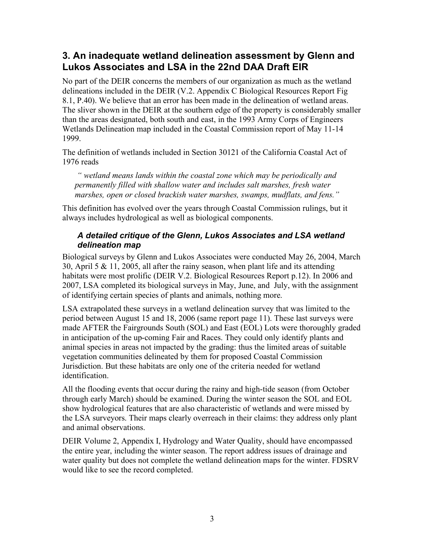## **3. An inadequate wetland delineation assessment by Glenn and Lukos Associates and LSA in the 22nd DAA Draft EIR**

No part of the DEIR concerns the members of our organization as much as the wetland delineations included in the DEIR (V.2. Appendix C Biological Resources Report Fig 8.1, P.40). We believe that an error has been made in the delineation of wetland areas. The sliver shown in the DEIR at the southern edge of the property is considerably smaller than the areas designated, both south and east, in the 1993 Army Corps of Engineers Wetlands Delineation map included in the Coastal Commission report of May 11-14 1999.

The definition of wetlands included in Section 30121 of the California Coastal Act of 1976 reads

 *" wetland means lands within the coastal zone which may be periodically and permanently filled with shallow water and includes salt marshes, fresh water marshes, open or closed brackish water marshes, swamps, mudflats, and fens."* 

This definition has evolved over the years through Coastal Commission rulings, but it always includes hydrological as well as biological components.

#### *A detailed critique of the Glenn, Lukos Associates and LSA wetland delineation map*

Biological surveys by Glenn and Lukos Associates were conducted May 26, 2004, March 30, April 5 & 11, 2005, all after the rainy season, when plant life and its attending habitats were most prolific (DEIR V.2. Biological Resources Report p.12). In 2006 and 2007, LSA completed its biological surveys in May, June, and July, with the assignment of identifying certain species of plants and animals, nothing more.

LSA extrapolated these surveys in a wetland delineation survey that was limited to the period between August 15 and 18, 2006 (same report page 11). These last surveys were made AFTER the Fairgrounds South (SOL) and East (EOL) Lots were thoroughly graded in anticipation of the up-coming Fair and Races. They could only identify plants and animal species in areas not impacted by the grading: thus the limited areas of suitable vegetation communities delineated by them for proposed Coastal Commission Jurisdiction. But these habitats are only one of the criteria needed for wetland identification.

All the flooding events that occur during the rainy and high-tide season (from October through early March) should be examined. During the winter season the SOL and EOL show hydrological features that are also characteristic of wetlands and were missed by the LSA surveyors. Their maps clearly overreach in their claims: they address only plant and animal observations.

DEIR Volume 2, Appendix I, Hydrology and Water Quality, should have encompassed the entire year, including the winter season. The report address issues of drainage and water quality but does not complete the wetland delineation maps for the winter. FDSRV would like to see the record completed.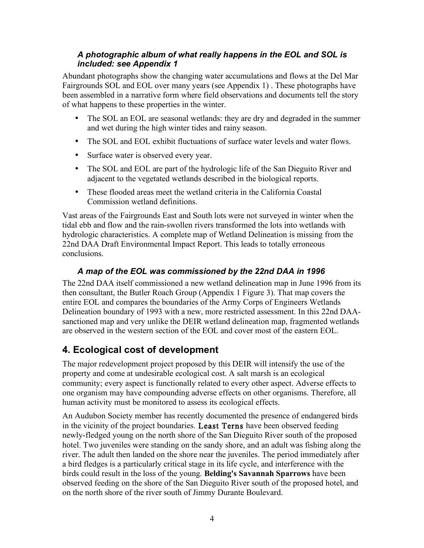#### *A photographic album of what really happens in the EOL and SOL is included: see Appendix 1*

Abundant photographs show the changing water accumulations and flows at the Del Mar Fairgrounds SOL and EOL over many years (see Appendix 1) . These photographs have been assembled in a narrative form where field observations and documents tell the story of what happens to these properties in the winter.

- The SOL an EOL are seasonal wetlands: they are dry and degraded in the summer and wet during the high winter tides and rainy season.
- The SOL and EOL exhibit fluctuations of surface water levels and water flows.
- Surface water is observed every year.
- The SOL and EOL are part of the hydrologic life of the San Dieguito River and adjacent to the vegetated wetlands described in the biological reports.
- These flooded areas meet the wetland criteria in the California Coastal Commission wetland definitions.

Vast areas of the Fairgrounds East and South lots were not surveyed in winter when the tidal ebb and flow and the rain-swollen rivers transformed the lots into wetlands with hydrologic characteristics. A complete map of Wetland Delineation is missing from the 22nd DAA Draft Environmental Impact Report. This leads to totally erroneous conclusions.

#### *A map of the EOL was commissioned by the 22nd DAA in 1996*

The 22nd DAA itself commissioned a new wetland delineation map in June 1996 from its then consultant, the Butler Roach Group (Appendix 1 Figure 3). That map covers the entire EOL and compares the boundaries of the Army Corps of Engineers Wetlands Delineation boundary of 1993 with a new, more restricted assessment. In this 22nd DAAsanctioned map and very unlike the DEIR wetland delineation map, fragmented wetlands are observed in the western section of the EOL and cover most of the eastern EOL.

## **4. Ecological cost of development**

The major redevelopment project proposed by this DEIR will intensify the use of the property and come at undesirable ecological cost. A salt marsh is an ecological community; every aspect is functionally related to every other aspect. Adverse effects to one organism may have compounding adverse effects on other organisms. Therefore, all human activity must be monitored to assess its ecological effects.

An Audubon Society member has recently documented the presence of endangered birds in the vicinity of the project boundaries. Least Terns have been observed feeding newly-fledged young on the north shore of the San Dieguito River south of the proposed hotel. Two juveniles were standing on the sandy shore, and an adult was fishing along the river. The adult then landed on the shore near the juveniles. The period immediately after a bird fledges is a particularly critical stage in its life cycle, and interference with the birds could result in the loss of the young. **Belding's Savannah Sparrows** have been observed feeding on the shore of the San Dieguito River south of the proposed hotel, and on the north shore of the river south of Jimmy Durante Boulevard.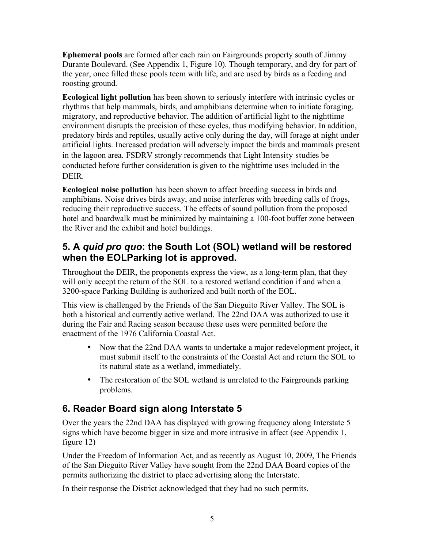**Ephemeral pools** are formed after each rain on Fairgrounds property south of Jimmy Durante Boulevard. (See Appendix 1, Figure 10). Though temporary, and dry for part of the year, once filled these pools teem with life, and are used by birds as a feeding and roosting ground.

**Ecological light pollution** has been shown to seriously interfere with intrinsic cycles or rhythms that help mammals, birds, and amphibians determine when to initiate foraging, migratory, and reproductive behavior. The addition of artificial light to the nighttime environment disrupts the precision of these cycles, thus modifying behavior. In addition, predatory birds and reptiles, usually active only during the day, will forage at night under artificial lights. Increased predation will adversely impact the birds and mammals present in the lagoon area. FSDRV strongly recommends that Light Intensity studies be conducted before further consideration is given to the nighttime uses included in the **DEIR** 

**Ecological noise pollution** has been shown to affect breeding success in birds and amphibians. Noise drives birds away, and noise interferes with breeding calls of frogs, reducing their reproductive success. The effects of sound pollution from the proposed hotel and boardwalk must be minimized by maintaining a 100-foot buffer zone between the River and the exhibit and hotel buildings.

## **5. A** *quid pro quo***: the South Lot (SOL) wetland will be restored when the EOLParking lot is approved.**

Throughout the DEIR, the proponents express the view, as a long-term plan, that they will only accept the return of the SOL to a restored wetland condition if and when a 3200-space Parking Building is authorized and built north of the EOL.

This view is challenged by the Friends of the San Dieguito River Valley. The SOL is both a historical and currently active wetland. The 22nd DAA was authorized to use it during the Fair and Racing season because these uses were permitted before the enactment of the 1976 California Coastal Act.

- Now that the 22nd DAA wants to undertake a major redevelopment project, it must submit itself to the constraints of the Coastal Act and return the SOL to its natural state as a wetland, immediately.
- The restoration of the SOL wetland is unrelated to the Fairgrounds parking problems.

## **6. Reader Board sign along Interstate 5**

Over the years the 22nd DAA has displayed with growing frequency along Interstate 5 signs which have become bigger in size and more intrusive in affect (see Appendix 1, figure 12)

Under the Freedom of Information Act, and as recently as August 10, 2009, The Friends of the San Dieguito River Valley have sought from the 22nd DAA Board copies of the permits authorizing the district to place advertising along the Interstate.

In their response the District acknowledged that they had no such permits.